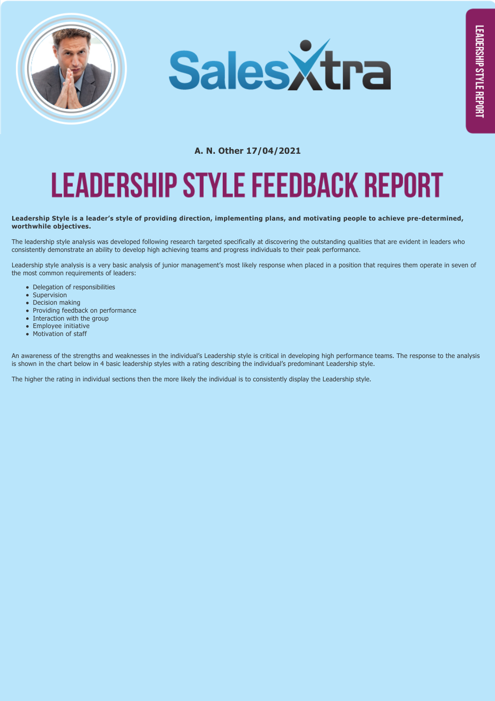



## **A. N. Other 17/04/2021 LEADERSHIP STYLE FEEDBACK REPORT**

## Leadership Style is a leader's style of providing direction, implementing plans, and motivating people to achieve pre-determined, **worthwhile objectives.**

The leadership style analysis was developed following research targeted specifically at discovering the outstanding qualities that are evident in leaders who consistently demonstrate an ability to develop high achieving teams and progress individuals to their peak performance.

Leadership style analysis is a very basic analysis of junior management's most likely response when placed in a position that requires them operate in seven of the most common requirements of leaders:

- Delegation of responsibilities
- Supervision
- Decision making
- Providing feedback on performance
- $\bullet$  Interaction with the group
- Employee initiative
- Motivation of staff

An awareness of the strengths and weaknesses in the individual's Leadership style is critical in developing high performance teams. The response to the analysis is shown in the chart below in 4 basic leadership styles with a rating describing the individual's predominant Leadership style.

The higher the rating in individual sections then the more likely the individual is to consistently display the Leadership style.